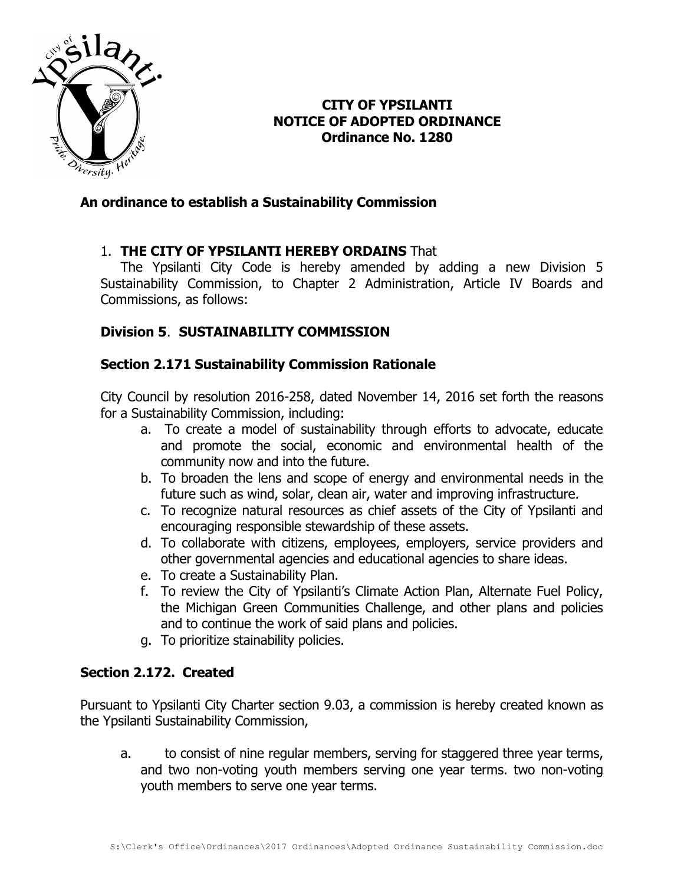

## **CITY OF YPSILANTI NOTICE OF ADOPTED ORDINANCE Ordinance No. 1280**

### **An ordinance to establish a Sustainability Commission**

### 1. **THE CITY OF YPSILANTI HEREBY ORDAINS** That

The Ypsilanti City Code is hereby amended by adding a new Division 5 Sustainability Commission, to Chapter 2 Administration, Article IV Boards and Commissions, as follows:

### **Division 5**. **SUSTAINABILITY COMMISSION**

#### **Section 2.171 Sustainability Commission Rationale**

City Council by resolution 2016-258, dated November 14, 2016 set forth the reasons for a Sustainability Commission, including:

- a. To create a model of sustainability through efforts to advocate, educate and promote the social, economic and environmental health of the community now and into the future.
- b. To broaden the lens and scope of energy and environmental needs in the future such as wind, solar, clean air, water and improving infrastructure.
- c. To recognize natural resources as chief assets of the City of Ypsilanti and encouraging responsible stewardship of these assets.
- d. To collaborate with citizens, employees, employers, service providers and other governmental agencies and educational agencies to share ideas.
- e. To create a Sustainability Plan.
- f. To review the City of Ypsilanti's Climate Action Plan, Alternate Fuel Policy, the Michigan Green Communities Challenge, and other plans and policies and to continue the work of said plans and policies.
- g. To prioritize stainability policies.

### **Section 2.172. Created**

Pursuant to Ypsilanti City Charter section 9.03, a commission is hereby created known as the Ypsilanti Sustainability Commission,

a. to consist of nine regular members, serving for staggered three year terms, and two non-voting youth members serving one year terms. two non-voting youth members to serve one year terms.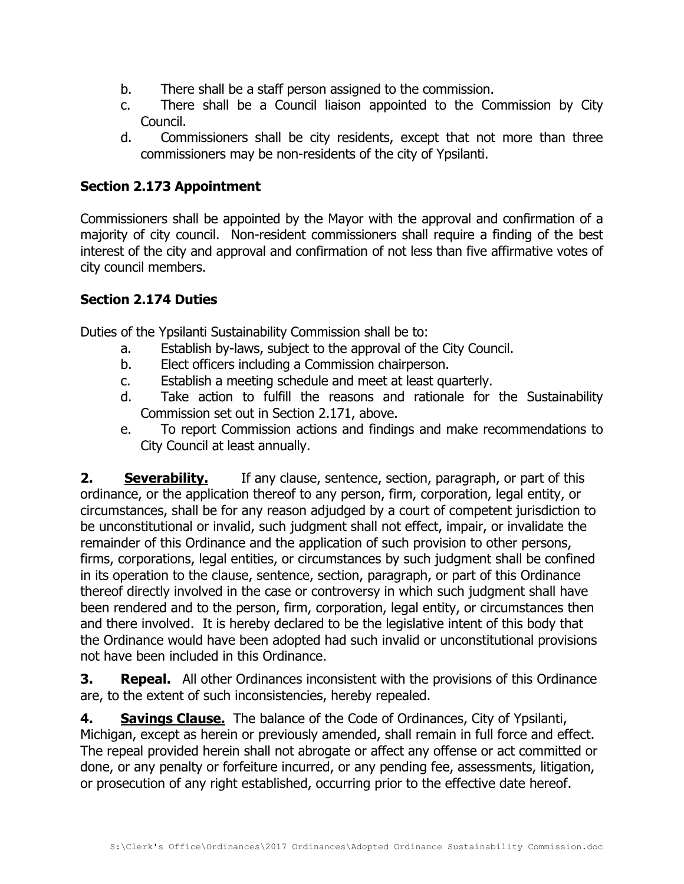- b. There shall be a staff person assigned to the commission.
- c. There shall be a Council liaison appointed to the Commission by City Council.
- d. Commissioners shall be city residents, except that not more than three commissioners may be non-residents of the city of Ypsilanti.

### **Section 2.173 Appointment**

Commissioners shall be appointed by the Mayor with the approval and confirmation of a majority of city council. Non-resident commissioners shall require a finding of the best interest of the city and approval and confirmation of not less than five affirmative votes of city council members.

#### **Section 2.174 Duties**

Duties of the Ypsilanti Sustainability Commission shall be to:

- a. Establish by-laws, subject to the approval of the City Council.
- b. Elect officers including a Commission chairperson.
- c. Establish a meeting schedule and meet at least quarterly.
- d. Take action to fulfill the reasons and rationale for the Sustainability Commission set out in Section 2.171, above.
- e. To report Commission actions and findings and make recommendations to City Council at least annually.

**2. Severability.** If any clause, sentence, section, paragraph, or part of this ordinance, or the application thereof to any person, firm, corporation, legal entity, or circumstances, shall be for any reason adjudged by a court of competent jurisdiction to be unconstitutional or invalid, such judgment shall not effect, impair, or invalidate the remainder of this Ordinance and the application of such provision to other persons, firms, corporations, legal entities, or circumstances by such judgment shall be confined in its operation to the clause, sentence, section, paragraph, or part of this Ordinance thereof directly involved in the case or controversy in which such judgment shall have been rendered and to the person, firm, corporation, legal entity, or circumstances then and there involved. It is hereby declared to be the legislative intent of this body that the Ordinance would have been adopted had such invalid or unconstitutional provisions not have been included in this Ordinance.

**3. Repeal.** All other Ordinances inconsistent with the provisions of this Ordinance are, to the extent of such inconsistencies, hereby repealed.

**4. Savings Clause.** The balance of the Code of Ordinances, City of Ypsilanti, Michigan, except as herein or previously amended, shall remain in full force and effect. The repeal provided herein shall not abrogate or affect any offense or act committed or done, or any penalty or forfeiture incurred, or any pending fee, assessments, litigation, or prosecution of any right established, occurring prior to the effective date hereof.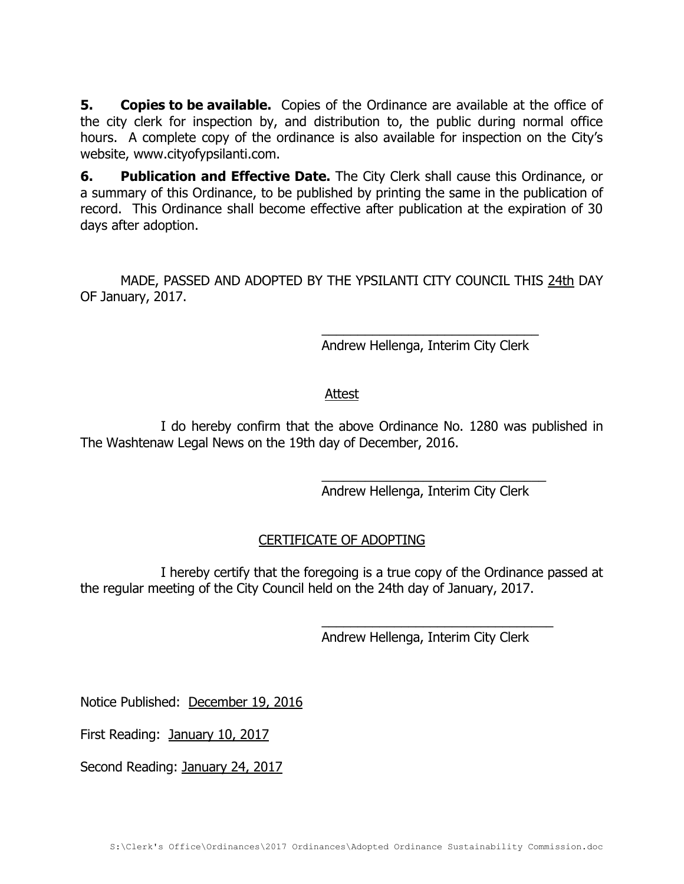**5. Copies to be available.** Copies of the Ordinance are available at the office of the city clerk for inspection by, and distribution to, the public during normal office hours. A complete copy of the ordinance is also available for inspection on the City's website, www.cityofypsilanti.com.

**6. Publication and Effective Date.** The City Clerk shall cause this Ordinance, or a summary of this Ordinance, to be published by printing the same in the publication of record. This Ordinance shall become effective after publication at the expiration of 30 days after adoption.

MADE, PASSED AND ADOPTED BY THE YPSILANTI CITY COUNCIL THIS 24th DAY OF January, 2017.

> \_\_\_\_\_\_\_\_\_\_\_\_\_\_\_\_\_\_\_\_\_\_\_\_\_\_\_\_\_\_ Andrew Hellenga, Interim City Clerk

## Attest

I do hereby confirm that the above Ordinance No. 1280 was published in The Washtenaw Legal News on the 19th day of December, 2016.

> \_\_\_\_\_\_\_\_\_\_\_\_\_\_\_\_\_\_\_\_\_\_\_\_\_\_\_\_\_\_\_ Andrew Hellenga, Interim City Clerk

# CERTIFICATE OF ADOPTING

I hereby certify that the foregoing is a true copy of the Ordinance passed at the regular meeting of the City Council held on the 24th day of January, 2017.

Andrew Hellenga, Interim City Clerk

\_\_\_\_\_\_\_\_\_\_\_\_\_\_\_\_\_\_\_\_\_\_\_\_\_\_\_\_\_\_\_\_

Notice Published: December 19, 2016

First Reading: January 10, 2017

Second Reading: January 24, 2017